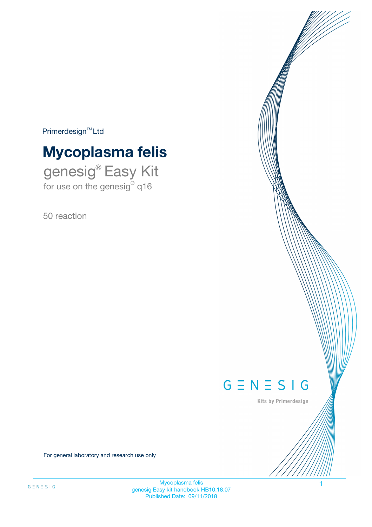$Primerdesign^{\text{TM}}Ltd$ 

# **Mycoplasma felis**

genesig® Easy Kit for use on the genesig® q16

50 reaction



Kits by Primerdesign

For general laboratory and research use only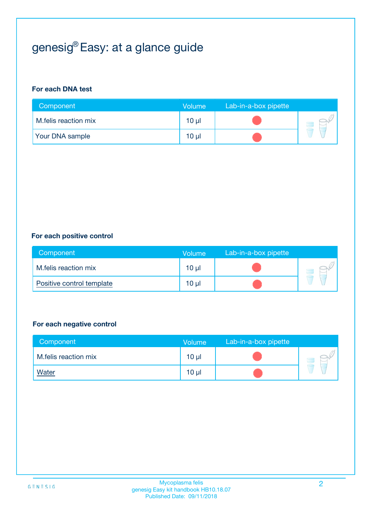## genesig® Easy: at a glance guide

#### **For each DNA test**

| Component              | <b>Volume</b> | Lab-in-a-box pipette |  |
|------------------------|---------------|----------------------|--|
| M.felis reaction mix   | 10 µl         |                      |  |
| <b>Your DNA sample</b> | $10 \mu$      |                      |  |

#### **For each positive control**

| Component                 | Volume          | Lab-in-a-box pipette |  |
|---------------------------|-----------------|----------------------|--|
| M.felis reaction mix      | 10 <sub>µ</sub> |                      |  |
| Positive control template | $10 \mu$        |                      |  |

#### **For each negative control**

| Component            | <b>Volume</b>   | Lab-in-a-box pipette |  |
|----------------------|-----------------|----------------------|--|
| M.felis reaction mix | 10 <sub>µ</sub> |                      |  |
| <u>Water</u>         | 10 <sub>µ</sub> |                      |  |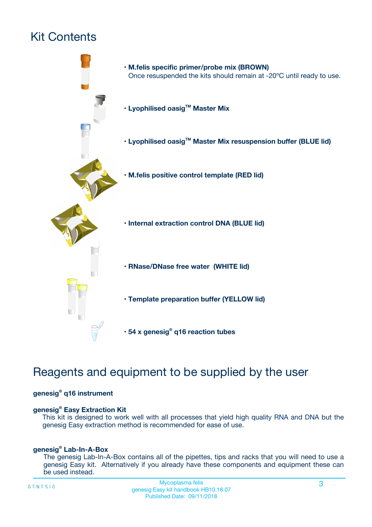## Kit Contents



## Reagents and equipment to be supplied by the user

#### **genesig® q16 instrument**

#### **genesig® Easy Extraction Kit**

This kit is designed to work well with all processes that yield high quality RNA and DNA but the genesig Easy extraction method is recommended for ease of use.

#### **genesig® Lab-In-A-Box**

The genesig Lab-In-A-Box contains all of the pipettes, tips and racks that you will need to use a genesig Easy kit. Alternatively if you already have these components and equipment these can be used instead.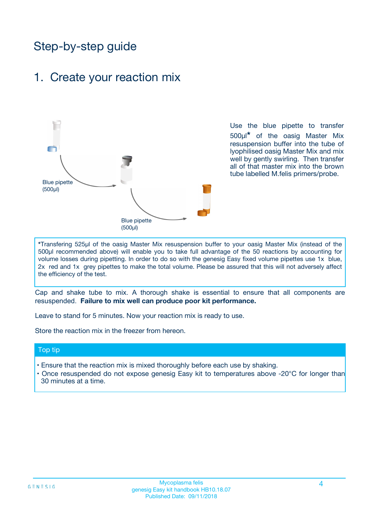## Step-by-step guide

### 1. Create your reaction mix



Use the blue pipette to transfer 500µl**\*** of the oasig Master Mix resuspension buffer into the tube of lyophilised oasig Master Mix and mix well by gently swirling. Then transfer all of that master mix into the brown tube labelled M.felis primers/probe.

**\***Transfering 525µl of the oasig Master Mix resuspension buffer to your oasig Master Mix (instead of the 500µl recommended above) will enable you to take full advantage of the 50 reactions by accounting for volume losses during pipetting. In order to do so with the genesig Easy fixed volume pipettes use 1x blue, 2x red and 1x grey pipettes to make the total volume. Please be assured that this will not adversely affect the efficiency of the test.

Cap and shake tube to mix. A thorough shake is essential to ensure that all components are resuspended. **Failure to mix well can produce poor kit performance.**

Leave to stand for 5 minutes. Now your reaction mix is ready to use.

Store the reaction mix in the freezer from hereon.

#### Top tip

- Ensure that the reaction mix is mixed thoroughly before each use by shaking.
- **•** Once resuspended do not expose genesig Easy kit to temperatures above -20°C for longer than 30 minutes at a time.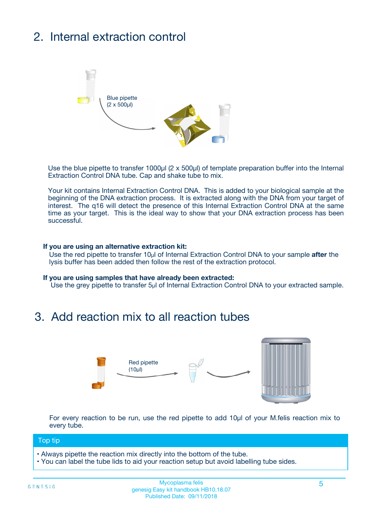## 2. Internal extraction control



Use the blue pipette to transfer 1000µl (2 x 500µl) of template preparation buffer into the Internal Extraction Control DNA tube. Cap and shake tube to mix.

Your kit contains Internal Extraction Control DNA. This is added to your biological sample at the beginning of the DNA extraction process. It is extracted along with the DNA from your target of interest. The q16 will detect the presence of this Internal Extraction Control DNA at the same time as your target. This is the ideal way to show that your DNA extraction process has been **successful.** 

#### **If you are using an alternative extraction kit:**

Use the red pipette to transfer 10µl of Internal Extraction Control DNA to your sample **after** the lysis buffer has been added then follow the rest of the extraction protocol.

#### **If you are using samples that have already been extracted:**

Use the grey pipette to transfer 5µl of Internal Extraction Control DNA to your extracted sample.

### 3. Add reaction mix to all reaction tubes



For every reaction to be run, use the red pipette to add 10µl of your M.felis reaction mix to every tube.

#### Top tip

- Always pipette the reaction mix directly into the bottom of the tube.
- You can label the tube lids to aid your reaction setup but avoid labelling tube sides.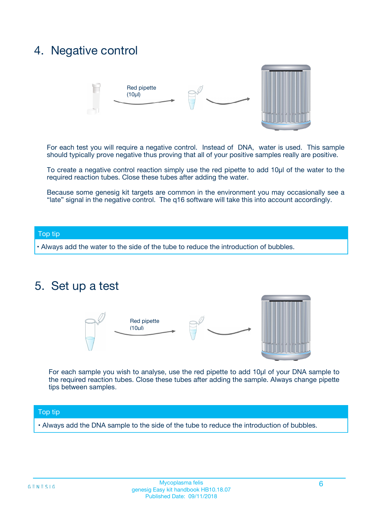### 4. Negative control



For each test you will require a negative control. Instead of DNA, water is used. This sample should typically prove negative thus proving that all of your positive samples really are positive.

To create a negative control reaction simply use the red pipette to add 10µl of the water to the required reaction tubes. Close these tubes after adding the water.

Because some genesig kit targets are common in the environment you may occasionally see a "late" signal in the negative control. The q16 software will take this into account accordingly.

#### Top tip

**•** Always add the water to the side of the tube to reduce the introduction of bubbles.

### 5. Set up a test



For each sample you wish to analyse, use the red pipette to add 10µl of your DNA sample to the required reaction tubes. Close these tubes after adding the sample. Always change pipette tips between samples.

#### Top tip

**•** Always add the DNA sample to the side of the tube to reduce the introduction of bubbles.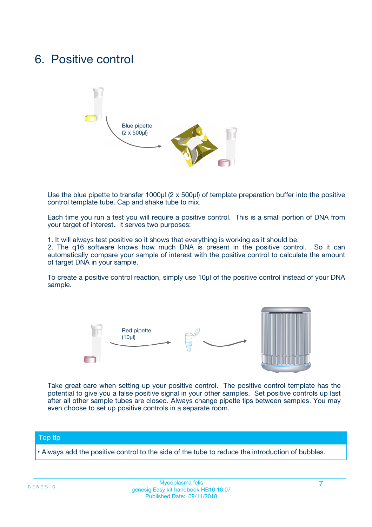### 6. Positive control



Use the blue pipette to transfer 1000µl (2 x 500µl) of template preparation buffer into the positive control template tube. Cap and shake tube to mix.

Each time you run a test you will require a positive control. This is a small portion of DNA from your target of interest. It serves two purposes:

1. It will always test positive so it shows that everything is working as it should be.

2. The q16 software knows how much DNA is present in the positive control. So it can automatically compare your sample of interest with the positive control to calculate the amount of target DNA in your sample.

To create a positive control reaction, simply use 10µl of the positive control instead of your DNA sample.



Take great care when setting up your positive control. The positive control template has the potential to give you a false positive signal in your other samples. Set positive controls up last after all other sample tubes are closed. Always change pipette tips between samples. You may even choose to set up positive controls in a separate room.

#### Top tip

**•** Always add the positive control to the side of the tube to reduce the introduction of bubbles.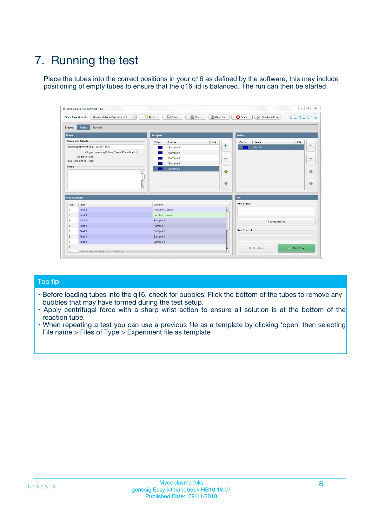## 7. Running the test

Place the tubes into the correct positions in your q16 as defined by the software, this may include positioning of empty tubes to ensure that the q16 lid is balanced. The run can then be started.

| qenesig q16 PCR software - 1.2                                               |                                   | $\Box$                                                                                          |
|------------------------------------------------------------------------------|-----------------------------------|-------------------------------------------------------------------------------------------------|
| $\vert \cdot \vert$<br>Unsaved (New Experiment 2<br><b>Open Experiments:</b> | <b>D</b> Open<br>R <sub>New</sub> | Save<br>Save As<br><b>C</b> Close<br><b>&amp; Configuration</b><br>$G \equiv N \equiv S \mid G$ |
| <b>Setup</b><br><b>Results</b><br>Stages:                                    |                                   |                                                                                                 |
| <b>Notes</b>                                                                 | <b>Samples</b>                    | <b>Tests</b>                                                                                    |
| <b>Name and Details</b>                                                      | Name<br>Color                     | Note<br>Color<br>Note<br>Name                                                                   |
| New Experiment 2017-10-26 11:06                                              | Sample 1                          | ÷<br>条<br>Test 1                                                                                |
| Kit type: genesig® Easy Target Detection kit                                 | Sample 2                          |                                                                                                 |
| Instrument Id.:                                                              | Sample 3                          | $\qquad \qquad \blacksquare$<br>$\qquad \qquad \blacksquare$                                    |
| <b>Run Completion Time:</b>                                                  | Sample 4                          |                                                                                                 |
| <b>Notes</b><br><b>A</b><br>$\overline{\mathbf v}$                           | Sample 5                          | ♦<br>4<br>÷<br>₩                                                                                |
| <b>Well Contents</b>                                                         |                                   | <b>Run</b>                                                                                      |
| Pos.<br>Test                                                                 | Sample                            | <b>Run Status</b>                                                                               |
| Test 1<br>$\blacktriangleleft$                                               | Negative Control                  | $\blacktriangle$                                                                                |
| $\overline{2}$<br>Test 1                                                     | <b>Positive Control</b>           |                                                                                                 |
| $\overline{\mathbf{3}}$<br>Test 1                                            | Sample 1                          | Show full log                                                                                   |
| Test 1<br>4                                                                  | Sample 2                          |                                                                                                 |
| 5<br>Test 1                                                                  | Sample 3                          | <b>Run Control</b>                                                                              |
| Test 1<br>6                                                                  | Sample 4                          |                                                                                                 |
| $\overline{7}$<br>Test 1                                                     | Sample 5                          |                                                                                                 |
| 8                                                                            |                                   | $\triangleright$ Start Run<br>Abort Run                                                         |
| <b>JOD FURTY TUDE TO BUILDED IN</b>                                          |                                   | $\overline{\mathbf{v}}$                                                                         |

#### Top tip

- Before loading tubes into the q16, check for bubbles! Flick the bottom of the tubes to remove any bubbles that may have formed during the test setup.
- Apply centrifugal force with a sharp wrist action to ensure all solution is at the bottom of the reaction tube.
- When repeating a test you can use a previous file as a template by clicking 'open' then selecting File name > Files of Type > Experiment file as template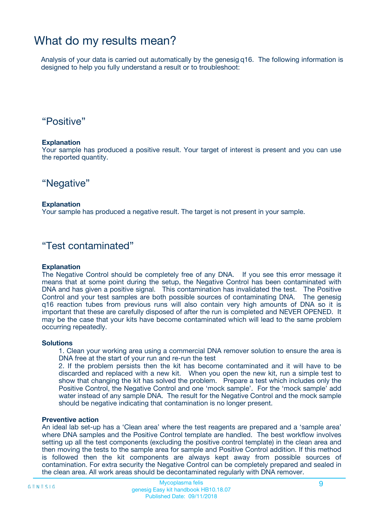### What do my results mean?

Analysis of your data is carried out automatically by the genesig q16. The following information is designed to help you fully understand a result or to troubleshoot:

### "Positive"

#### **Explanation**

Your sample has produced a positive result. Your target of interest is present and you can use the reported quantity.

"Negative"

#### **Explanation**

Your sample has produced a negative result. The target is not present in your sample.

### "Test contaminated"

#### **Explanation**

The Negative Control should be completely free of any DNA. If you see this error message it means that at some point during the setup, the Negative Control has been contaminated with DNA and has given a positive signal. This contamination has invalidated the test. The Positive Control and your test samples are both possible sources of contaminating DNA. The genesig q16 reaction tubes from previous runs will also contain very high amounts of DNA so it is important that these are carefully disposed of after the run is completed and NEVER OPENED. It may be the case that your kits have become contaminated which will lead to the same problem occurring repeatedly.

#### **Solutions**

1. Clean your working area using a commercial DNA remover solution to ensure the area is DNA free at the start of your run and re-run the test

2. If the problem persists then the kit has become contaminated and it will have to be discarded and replaced with a new kit. When you open the new kit, run a simple test to show that changing the kit has solved the problem. Prepare a test which includes only the Positive Control, the Negative Control and one 'mock sample'. For the 'mock sample' add water instead of any sample DNA. The result for the Negative Control and the mock sample should be negative indicating that contamination is no longer present.

#### **Preventive action**

An ideal lab set-up has a 'Clean area' where the test reagents are prepared and a 'sample area' where DNA samples and the Positive Control template are handled. The best workflow involves setting up all the test components (excluding the positive control template) in the clean area and then moving the tests to the sample area for sample and Positive Control addition. If this method is followed then the kit components are always kept away from possible sources of contamination. For extra security the Negative Control can be completely prepared and sealed in the clean area. All work areas should be decontaminated regularly with DNA remover.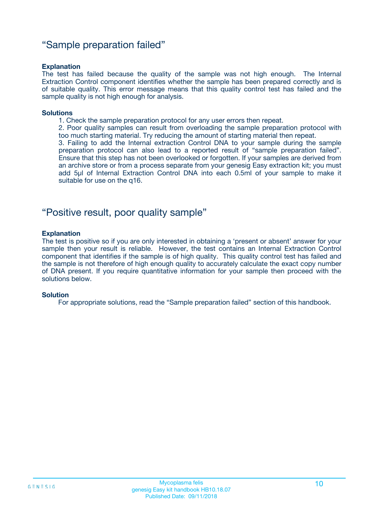### "Sample preparation failed"

#### **Explanation**

The test has failed because the quality of the sample was not high enough. The Internal Extraction Control component identifies whether the sample has been prepared correctly and is of suitable quality. This error message means that this quality control test has failed and the sample quality is not high enough for analysis.

#### **Solutions**

1. Check the sample preparation protocol for any user errors then repeat.

2. Poor quality samples can result from overloading the sample preparation protocol with too much starting material. Try reducing the amount of starting material then repeat.

3. Failing to add the Internal extraction Control DNA to your sample during the sample preparation protocol can also lead to a reported result of "sample preparation failed". Ensure that this step has not been overlooked or forgotten. If your samples are derived from an archive store or from a process separate from your genesig Easy extraction kit; you must add 5µl of Internal Extraction Control DNA into each 0.5ml of your sample to make it suitable for use on the q16.

### "Positive result, poor quality sample"

#### **Explanation**

The test is positive so if you are only interested in obtaining a 'present or absent' answer for your sample then your result is reliable. However, the test contains an Internal Extraction Control component that identifies if the sample is of high quality. This quality control test has failed and the sample is not therefore of high enough quality to accurately calculate the exact copy number of DNA present. If you require quantitative information for your sample then proceed with the solutions below.

#### **Solution**

For appropriate solutions, read the "Sample preparation failed" section of this handbook.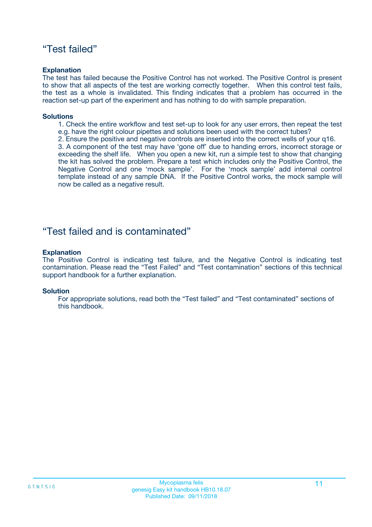### "Test failed"

#### **Explanation**

The test has failed because the Positive Control has not worked. The Positive Control is present to show that all aspects of the test are working correctly together. When this control test fails, the test as a whole is invalidated. This finding indicates that a problem has occurred in the reaction set-up part of the experiment and has nothing to do with sample preparation.

#### **Solutions**

- 1. Check the entire workflow and test set-up to look for any user errors, then repeat the test e.g. have the right colour pipettes and solutions been used with the correct tubes?
- 2. Ensure the positive and negative controls are inserted into the correct wells of your q16.

3. A component of the test may have 'gone off' due to handing errors, incorrect storage or exceeding the shelf life. When you open a new kit, run a simple test to show that changing the kit has solved the problem. Prepare a test which includes only the Positive Control, the Negative Control and one 'mock sample'. For the 'mock sample' add internal control template instead of any sample DNA. If the Positive Control works, the mock sample will now be called as a negative result.

### "Test failed and is contaminated"

#### **Explanation**

The Positive Control is indicating test failure, and the Negative Control is indicating test contamination. Please read the "Test Failed" and "Test contamination" sections of this technical support handbook for a further explanation.

#### **Solution**

For appropriate solutions, read both the "Test failed" and "Test contaminated" sections of this handbook.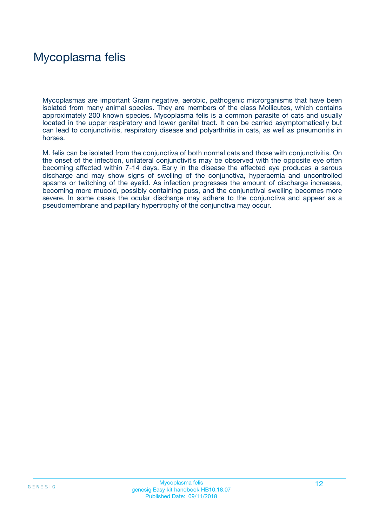## Mycoplasma felis

Mycoplasmas are important Gram negative, aerobic, pathogenic microrganisms that have been isolated from many animal species. They are members of the class Mollicutes, which contains approximately 200 known species. Mycoplasma felis is a common parasite of cats and usually located in the upper respiratory and lower genital tract. It can be carried asymptomatically but can lead to conjunctivitis, respiratory disease and polyarthritis in cats, as well as pneumonitis in horses.

M. felis can be isolated from the conjunctiva of both normal cats and those with conjunctivitis. On the onset of the infection, unilateral conjunctivitis may be observed with the opposite eye often becoming affected within 7-14 days. Early in the disease the affected eye produces a serous discharge and may show signs of swelling of the conjunctiva, hyperaemia and uncontrolled spasms or twitching of the eyelid. As infection progresses the amount of discharge increases, becoming more mucoid, possibly containing puss, and the conjunctival swelling becomes more severe. In some cases the ocular discharge may adhere to the conjunctiva and appear as a pseudomembrane and papillary hypertrophy of the conjunctiva may occur.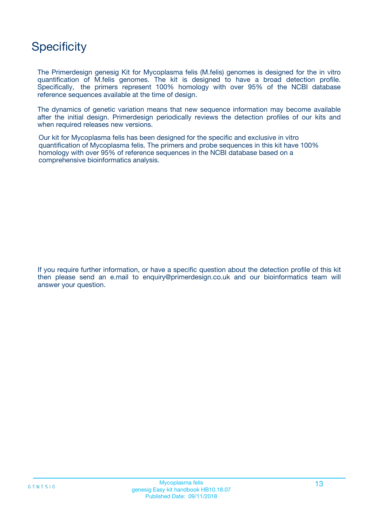## **Specificity**

The Primerdesign genesig Kit for Mycoplasma felis (M.felis) genomes is designed for the in vitro quantification of M.felis genomes. The kit is designed to have a broad detection profile. Specifically, the primers represent 100% homology with over 95% of the NCBI database reference sequences available at the time of design.

The dynamics of genetic variation means that new sequence information may become available after the initial design. Primerdesign periodically reviews the detection profiles of our kits and when required releases new versions.

Our kit for Mycoplasma felis has been designed for the specific and exclusive in vitro quantification of Mycoplasma felis. The primers and probe sequences in this kit have 100% homology with over 95% of reference sequences in the NCBI database based on a comprehensive bioinformatics analysis.

If you require further information, or have a specific question about the detection profile of this kit then please send an e.mail to enquiry@primerdesign.co.uk and our bioinformatics team will answer your question.